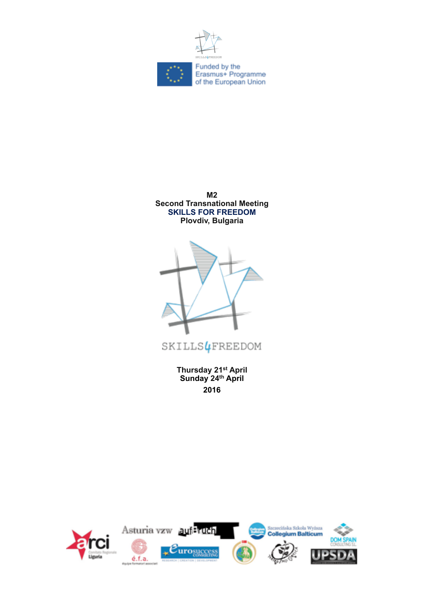





SKILLS4FREEDOM

**Thursday 21st April Sunday 24th April 2016**

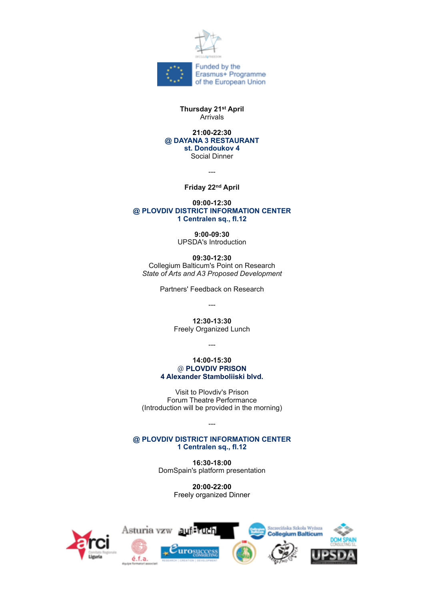

### **Thursday 21st April** Arrivals

#### **21:00-22:30 @ DAYANA 3 RESTAURANT st. Dondoukov 4** Social Dinner

---

**Friday 22nd April**

### **09:00-12:30 @ PLOVDIV DISTRICT INFORMATION CENTER 1 Centralen sq., fl.12**

**9:00-09:30** UPSDA's Introduction

**09:30-12:30** Collegium Balticum's Point on Research *State of Arts and A3 Proposed Development*

Partners' Feedback on Research

---

**12:30-13:30** Freely Organized Lunch

---

**14:00-15:30** @ **PLOVDIV PRISON 4 Alexander Stamboliiski blvd.**

Visit to Plovdiv's Prison Forum Theatre Performance (Introduction will be provided in the morning)

### **@ PLOVDIV DISTRICT INFORMATION CENTER 1 Centralen sq., fl.12**

---

**16:30-18:00** DomSpain's platform presentation

> **20:00-22:00** Freely organized Dinner

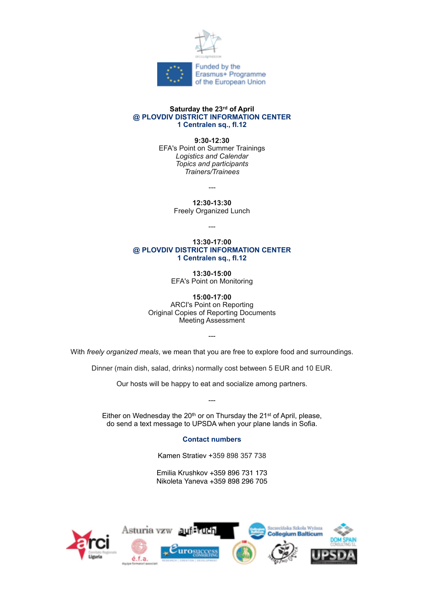

### **Saturday the 23rd of April @ PLOVDIV DISTRICT INFORMATION CENTER 1 Centralen sq., fl.12**

**9:30-12:30**

EFA's Point on Summer Trainings *Logistics and Calendar Topics and participants Trainers/Trainees*

*---*

**12:30-13:30**

Freely Organized Lunch

---

#### **13:30-17:00 @ PLOVDIV DISTRICT INFORMATION CENTER 1 Centralen sq., fl.12**

**13:30-15:00** EFA's Point on Monitoring

**15:00-17:00** ARCI's Point on Reporting Original Copies of Reporting Documents Meeting Assessment

With *freely organized meals*, we mean that you are free to explore food and surroundings.

---

Dinner (main dish, salad, drinks) normally cost between 5 EUR and 10 EUR.

Our hosts will be happy to eat and socialize among partners.

---

Either on Wednesday the  $20<sup>th</sup>$  or on Thursday the  $21<sup>st</sup>$  of April, please, do send a text message to UPSDA when your plane lands in Sofia.

## **Contact numbers**

Kamen Stratiev +359 898 357 738

Emilia Krushkov +359 896 731 173 Nikoleta Yaneva +359 898 296 705

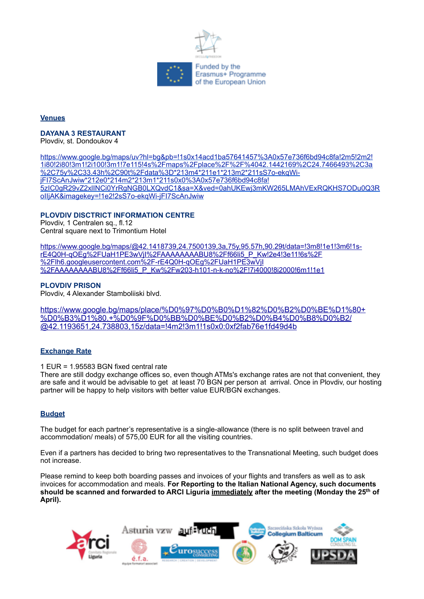

## **Venues**

# **DAYANA 3 RESTAURANT**

Plovdiv, st. Dondoukov 4

[https://www.google.bg/maps/uv?hl=bg&pb=!1s0x14acd1ba57641457%3A0x57e736f6bd94c8fa!2m5!2m2!](https://www.google.bg/maps/uv?hl=bg&pb=!1s0x14acd1ba57641457%3A0x57e736f6bd94c8fa!2m5!2m2!1i80!2i80!3m1!2i100!3m1!7e115!4s%2Fmaps%2Fplace%2F%2F%4042.1442169%2C24.7466493%2C3a%2C75y%2C33.43h%2C90t%2Fdata%3D*213m4*211e1*213m2*211sS7o-ekqWi-jFI7ScAnJwiw*212e0*214m2*213m1*211s0x0%3A0x57e736f6bd94c8fa!5zIC0gR29vZ2xlINCi0YrRgNGB0LXQvdC1&sa=X&ved=0ahUKEwj3mKW265LMAhVExRQKHS7ODu0Q3RoIIjAK&imagekey=!1e2!2sS7o-ekqWi-jFI7ScAnJwiw) [1i80!2i80!3m1!2i100!3m1!7e115!4s%2Fmaps%2Fplace%2F%2F%4042.1442169%2C24.7466493%2C3a](https://www.google.bg/maps/uv?hl=bg&pb=!1s0x14acd1ba57641457%3A0x57e736f6bd94c8fa!2m5!2m2!1i80!2i80!3m1!2i100!3m1!7e115!4s%2Fmaps%2Fplace%2F%2F%4042.1442169%2C24.7466493%2C3a%2C75y%2C33.43h%2C90t%2Fdata%3D*213m4*211e1*213m2*211sS7o-ekqWi-jFI7ScAnJwiw*212e0*214m2*213m1*211s0x0%3A0x57e736f6bd94c8fa!5zIC0gR29vZ2xlINCi0YrRgNGB0LXQvdC1&sa=X&ved=0ahUKEwj3mKW265LMAhVExRQKHS7ODu0Q3RoIIjAK&imagekey=!1e2!2sS7o-ekqWi-jFI7ScAnJwiw) [%2C75y%2C33.43h%2C90t%2Fdata%3D\\*213m4\\*211e1\\*213m2\\*211sS7o-ekqWi](https://www.google.bg/maps/uv?hl=bg&pb=!1s0x14acd1ba57641457%3A0x57e736f6bd94c8fa!2m5!2m2!1i80!2i80!3m1!2i100!3m1!7e115!4s%2Fmaps%2Fplace%2F%2F%4042.1442169%2C24.7466493%2C3a%2C75y%2C33.43h%2C90t%2Fdata%3D*213m4*211e1*213m2*211sS7o-ekqWi-jFI7ScAnJwiw*212e0*214m2*213m1*211s0x0%3A0x57e736f6bd94c8fa!5zIC0gR29vZ2xlINCi0YrRgNGB0LXQvdC1&sa=X&ved=0ahUKEwj3mKW265LMAhVExRQKHS7ODu0Q3RoIIjAK&imagekey=!1e2!2sS7o-ekqWi-jFI7ScAnJwiw)[jFI7ScAnJwiw\\*212e0\\*214m2\\*213m1\\*211s0x0%3A0x57e736f6bd94c8fa!](https://www.google.bg/maps/uv?hl=bg&pb=!1s0x14acd1ba57641457%3A0x57e736f6bd94c8fa!2m5!2m2!1i80!2i80!3m1!2i100!3m1!7e115!4s%2Fmaps%2Fplace%2F%2F%4042.1442169%2C24.7466493%2C3a%2C75y%2C33.43h%2C90t%2Fdata%3D*213m4*211e1*213m2*211sS7o-ekqWi-jFI7ScAnJwiw*212e0*214m2*213m1*211s0x0%3A0x57e736f6bd94c8fa!5zIC0gR29vZ2xlINCi0YrRgNGB0LXQvdC1&sa=X&ved=0ahUKEwj3mKW265LMAhVExRQKHS7ODu0Q3RoIIjAK&imagekey=!1e2!2sS7o-ekqWi-jFI7ScAnJwiw) [5zIC0gR29vZ2xlINCi0YrRgNGB0LXQvdC1&sa=X&ved=0ahUKEwj3mKW265LMAhVExRQKHS7ODu0Q3R](https://www.google.bg/maps/uv?hl=bg&pb=!1s0x14acd1ba57641457%3A0x57e736f6bd94c8fa!2m5!2m2!1i80!2i80!3m1!2i100!3m1!7e115!4s%2Fmaps%2Fplace%2F%2F%4042.1442169%2C24.7466493%2C3a%2C75y%2C33.43h%2C90t%2Fdata%3D*213m4*211e1*213m2*211sS7o-ekqWi-jFI7ScAnJwiw*212e0*214m2*213m1*211s0x0%3A0x57e736f6bd94c8fa!5zIC0gR29vZ2xlINCi0YrRgNGB0LXQvdC1&sa=X&ved=0ahUKEwj3mKW265LMAhVExRQKHS7ODu0Q3RoIIjAK&imagekey=!1e2!2sS7o-ekqWi-jFI7ScAnJwiw) [oIIjAK&imagekey=!1e2!2sS7o-ekqWi-jFI7ScAnJwiw](https://www.google.bg/maps/uv?hl=bg&pb=!1s0x14acd1ba57641457%3A0x57e736f6bd94c8fa!2m5!2m2!1i80!2i80!3m1!2i100!3m1!7e115!4s%2Fmaps%2Fplace%2F%2F%4042.1442169%2C24.7466493%2C3a%2C75y%2C33.43h%2C90t%2Fdata%3D*213m4*211e1*213m2*211sS7o-ekqWi-jFI7ScAnJwiw*212e0*214m2*213m1*211s0x0%3A0x57e736f6bd94c8fa!5zIC0gR29vZ2xlINCi0YrRgNGB0LXQvdC1&sa=X&ved=0ahUKEwj3mKW265LMAhVExRQKHS7ODu0Q3RoIIjAK&imagekey=!1e2!2sS7o-ekqWi-jFI7ScAnJwiw)

## **PLOVDIV DISCTRICT INFORMATION CENTRE**

Plovdiv, 1 Centralen sq., fl.12 Central square next to Trimontium Hotel

[https://www.google.bg/maps/@42.1418739,24.7500139,3a,75y,95.57h,90.29t/data=!3m8!1e1!3m6!1s](https://www.google.bg/maps/@42.1418739,24.7500139,3a,75y,95.57h,90.29t/data=!3m8!1e1!3m6!1s-rE4Q0H-qOEg%2FUaH1PE3wVjI%2FAAAAAAAABU8%2Ff66li5_P_Kw!2e4!3e11!6s%2F%2Flh6.googleusercontent.com%2F-rE4Q0H-qOEg%2FUaH1PE3wVjI%2FAAAAAAAABU8%2Ff66li5_P_Kw%2Fw203-h101-n-k-no%2F!7i4000!8i2000!6m1!1e1)[rE4Q0H-qOEg%2FUaH1PE3wVjI%2FAAAAAAAABU8%2Ff66li5\\_P\\_Kw!2e4!3e11!6s%2F](https://www.google.bg/maps/@42.1418739,24.7500139,3a,75y,95.57h,90.29t/data=!3m8!1e1!3m6!1s-rE4Q0H-qOEg%2FUaH1PE3wVjI%2FAAAAAAAABU8%2Ff66li5_P_Kw!2e4!3e11!6s%2F%2Flh6.googleusercontent.com%2F-rE4Q0H-qOEg%2FUaH1PE3wVjI%2FAAAAAAAABU8%2Ff66li5_P_Kw%2Fw203-h101-n-k-no%2F!7i4000!8i2000!6m1!1e1) [%2Flh6.googleusercontent.com%2F-rE4Q0H-qOEg%2FUaH1PE3wVjI](https://www.google.bg/maps/@42.1418739,24.7500139,3a,75y,95.57h,90.29t/data=!3m8!1e1!3m6!1s-rE4Q0H-qOEg%2FUaH1PE3wVjI%2FAAAAAAAABU8%2Ff66li5_P_Kw!2e4!3e11!6s%2F%2Flh6.googleusercontent.com%2F-rE4Q0H-qOEg%2FUaH1PE3wVjI%2FAAAAAAAABU8%2Ff66li5_P_Kw%2Fw203-h101-n-k-no%2F!7i4000!8i2000!6m1!1e1) [%2FAAAAAAAABU8%2Ff66li5\\_P\\_Kw%2Fw203-h101-n-k-no%2F!7i4000!8i2000!6m1!1e1](https://www.google.bg/maps/@42.1418739,24.7500139,3a,75y,95.57h,90.29t/data=!3m8!1e1!3m6!1s-rE4Q0H-qOEg%2FUaH1PE3wVjI%2FAAAAAAAABU8%2Ff66li5_P_Kw!2e4!3e11!6s%2F%2Flh6.googleusercontent.com%2F-rE4Q0H-qOEg%2FUaH1PE3wVjI%2FAAAAAAAABU8%2Ff66li5_P_Kw%2Fw203-h101-n-k-no%2F!7i4000!8i2000!6m1!1e1)

## **PLOVDIV PRISON**

Plovdiv, 4 Alexander Stamboliiski blvd.

[https://www.google.bg/maps/place/%D0%97%D0%B0%D1%82%D0%B2%D0%BE%D1%80+](http://livepage.apple.com/) [%D0%B3%D1%80.+%D0%9F%D0%BB%D0%BE%D0%B2%D0%B4%D0%B8%D0%B2/](http://livepage.apple.com/) [@42.1193651,24.738803,15z/data=!4m2!3m1!1s0x0:0xf2fab76e1fd49d4b](http://livepage.apple.com/)

# **Exchange Rate**

1 EUR = 1.95583 BGN fixed central rate

There are still dodgy exchange offices so, even though ATMs's exchange rates are not that convenient, they are safe and it would be advisable to get at least 70 BGN per person at arrival. Once in Plovdiv, our hosting partner will be happy to help visitors with better value EUR/BGN exchanges.

# **Budget**

The budget for each partner's representative is a single-allowance (there is no split between travel and accommodation/ meals) of 575,00 EUR for all the visiting countries.

Even if a partners has decided to bring two representatives to the Transnational Meeting, such budget does not increase.

Please remind to keep both boarding passes and invoices of your flights and transfers as well as to ask invoices for accommodation and meals. **For Reporting to the Italian National Agency, such documents should be scanned and forwarded to ARCI Liguria immediately after the meeting (Monday the 25th of April).**

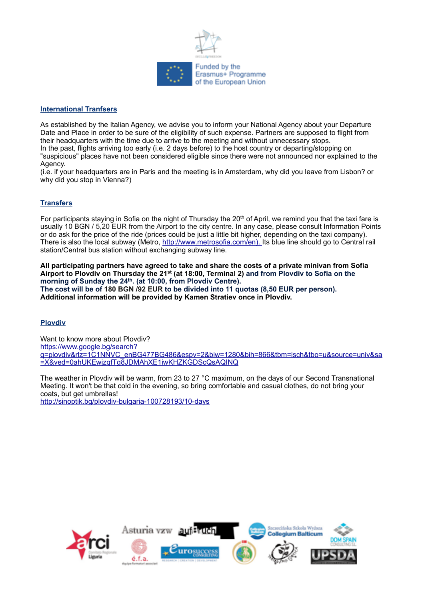

## **International Tranfsers**

As established by the Italian Agency, we advise you to inform your National Agency about your Departure Date and Place in order to be sure of the eligibility of such expense. Partners are supposed to flight from their headquarters with the time due to arrive to the meeting and without unnecessary stops. In the past, flights arriving too early (i.e. 2 days before) to the host country or departing/stopping on "suspicious" places have not been considered eligible since there were not announced nor explained to the Agency.

(i.e. if your headquarters are in Paris and the meeting is in Amsterdam, why did you leave from Lisbon? or why did you stop in Vienna?)

## **Transfers**

For participants staying in Sofia on the night of Thursday the 20<sup>th</sup> of April, we remind you that the taxi fare is usually 10 BGN / 5,20 EUR from the Airport to the city centre. In any case, please consult Information Points or do ask for the price of the ride (prices could be just a little bit higher, depending on the taxi company). There is also the local subway (Metro, [http://www.metrosofia.com/en\). I](http://www.metrosofia.com/en/)ts blue line should go to Central rail station/Central bus station without exchanging subway line.

**All participating partners have agreed to take and share the costs of a private minivan from Sofia Airport to Plovdiv on Thursday the 21st (at 18:00, Terminal 2) and from Plovdiv to Sofia on the**  morning of Sunday the 24<sup>th</sup>. (at 10:00, from Plovdiv Centre). **The cost will be of 180 BGN /92 EUR to be divided into 11 quotas (8,50 EUR per person). Additional information will be provided by Kamen Stratiev once in Plovdiv.**

## **Plovdiv**

Want to know more about Plovdiv? [https://www.google.bg/search?](https://www.google.bg/search?q=plovdiv&rlz=1C1NNVC_enBG477BG486&espv=2&biw=1280&bih=866&tbm=isch&tbo=u&source=univ&sa=X&ved=0ahUKEwjzqfTg8JDMAhXE1iwKHZKGDScQsAQINQ) [q=plovdiv&rlz=1C1NNVC\\_enBG477BG486&espv=2&biw=1280&bih=866&tbm=isch&tbo=u&source=univ&sa](https://www.google.bg/search?q=plovdiv&rlz=1C1NNVC_enBG477BG486&espv=2&biw=1280&bih=866&tbm=isch&tbo=u&source=univ&sa=X&ved=0ahUKEwjzqfTg8JDMAhXE1iwKHZKGDScQsAQINQ) [=X&ved=0ahUKEwjzqfTg8JDMAhXE1iwKHZKGDScQsAQINQ](https://www.google.bg/search?q=plovdiv&rlz=1C1NNVC_enBG477BG486&espv=2&biw=1280&bih=866&tbm=isch&tbo=u&source=univ&sa=X&ved=0ahUKEwjzqfTg8JDMAhXE1iwKHZKGDScQsAQINQ)

The weather in Plovdiv will be warm, from 23 to 27 °C maximum, on the days of our Second Transnational Meeting. It won't be that cold in the evening, so bring comfortable and casual clothes, do not bring your coats, but get umbrellas!

<http://sinoptik.bg/plovdiv-bulgaria-100728193/10-days>